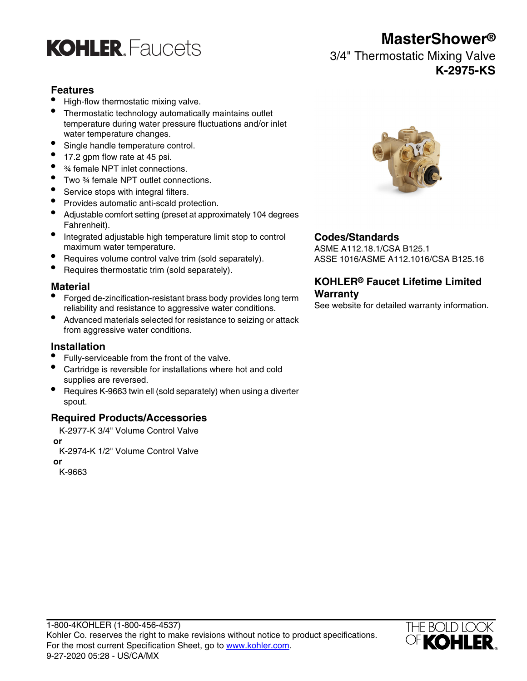

## **Features**

- High-flow thermostatic mixing valve.
- Thermostatic technology automatically maintains outlet temperature during water pressure fluctuations and/or inlet water temperature changes.
- Single handle temperature control.
- 17.2 gpm flow rate at 45 psi.
- 3/4 female NPT inlet connections.
- Two ¾ female NPT outlet connections.
- Service stops with integral filters.
- Provides automatic anti-scald protection.
- Adjustable comfort setting (preset at approximately 104 degrees Fahrenheit).
- Integrated adjustable high temperature limit stop to control **Codes/Standards**
- Requires volume control valve trim (sold separately). ASSE 1016/ASME A112.1016/CSA B125.16
- Requires thermostatic trim (sold separately).

- **Material**<br>• Forged de-zincification-resistant brass body provides long term **Warranty** reliability and resistance to aggressive water conditions.<br>See website for detailed warranty information.
- Advanced materials selected for resistance to seizing or attack from aggressive water conditions.

### **Installation**

- Fully-serviceable from the front of the valve.
- Cartridge is reversible for installations where hot and cold supplies are reversed.
- Requires K-9663 twin ell (sold separately) when using a diverter spout.

## **Required Products/Accessories**

- K-2977-K 3/4" Volume Control Valve  **or**
- K-2974-K 1/2" Volume Control Valve

 **or**

K-9663



ASME A112.18.1/CSA B125.1

# **KOHLER® Faucet Lifetime Limited**



**MasterShower®**

3/4" Thermostatic Mixing Valve **K-2975-KS**